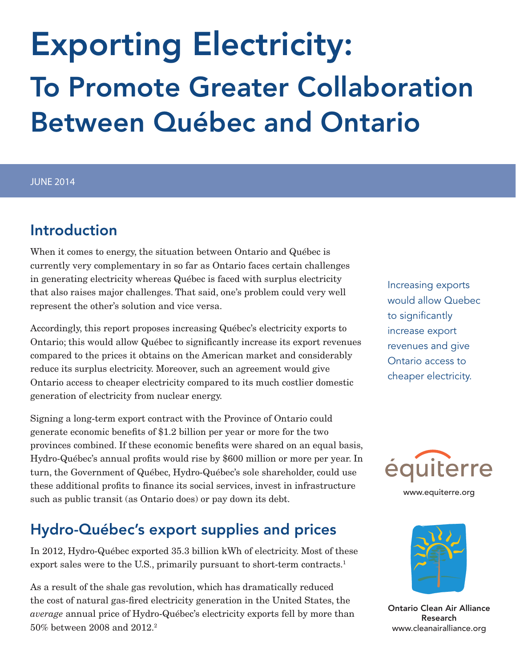# Exporting Electricity: To Promote Greater Collaboration Between Québec and Ontario

#### JUNE 2014

#### Introduction

When it comes to energy, the situation between Ontario and Québec is currently very complementary in so far as Ontario faces certain challenges in generating electricity whereas Québec is faced with surplus electricity that also raises major challenges. That said, one's problem could very well represent the other's solution and vice versa.

Accordingly, this report proposes increasing Québec's electricity exports to Ontario; this would allow Québec to significantly increase its export revenues compared to the prices it obtains on the American market and considerably reduce its surplus electricity. Moreover, such an agreement would give Ontario access to cheaper electricity compared to its much costlier domestic generation of electricity from nuclear energy.

Signing a long-term export contract with the Province of Ontario could generate economic benefits of \$1.2 billion per year or more for the two provinces combined. If these economic benefits were shared on an equal basis, Hydro-Québec's annual profits would rise by \$600 million or more per year. In turn, the Government of Québec, Hydro-Québec's sole shareholder, could use these additional profits to finance its social services, invest in infrastructure such as public transit (as Ontario does) or pay down its debt.

## Hydro-Québec's export supplies and prices

In 2012, Hydro-Québec exported 35.3 billion kWh of electricity. Most of these export sales were to the U.S., primarily pursuant to short-term contracts.<sup>1</sup>

As a result of the shale gas revolution, which has dramatically reduced the cost of natural gas-fired electricity generation in the United States, the *average* annual price of Hydro-Québec's electricity exports fell by more than 50% between 2008 and 2012.2

Increasing exports would allow Quebec to significantly increase export revenues and give Ontario access to cheaper electricity.



www.equiterre.org



Ontario Clean Air Alliance Research www.cleanairalliance.org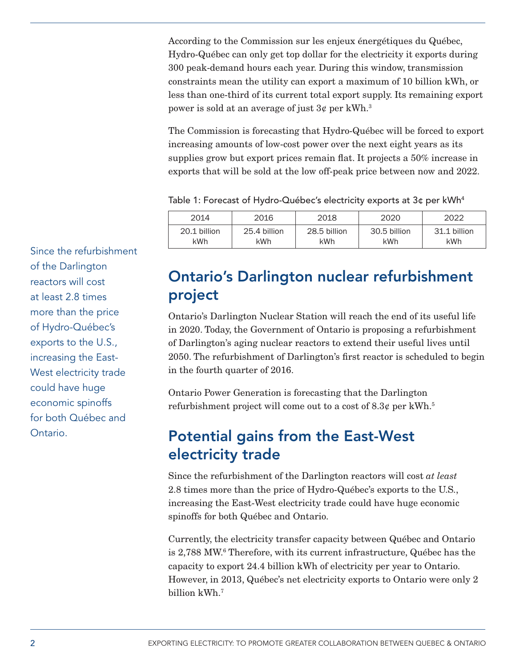According to the Commission sur les enjeux énergétiques du Québec, Hydro-Québec can only get top dollar for the electricity it exports during 300 peak-demand hours each year. During this window, transmission constraints mean the utility can export a maximum of 10 billion kWh, or less than one-third of its current total export supply. Its remaining export power is sold at an average of just  $3\ell$  per kWh.<sup>3</sup>

The Commission is forecasting that Hydro-Québec will be forced to export increasing amounts of low-cost power over the next eight years as its supplies grow but export prices remain flat. It projects a 50% increase in exports that will be sold at the low off-peak price between now and 2022.

Table 1: Forecast of Hydro-Québec's electricity exports at 3 $\sigma$  per kWh<sup>4</sup>

| 2014         | 2016         | 2018         | 2020         | 2022         |
|--------------|--------------|--------------|--------------|--------------|
| 20.1 billion | 25.4 billion | 28.5 billion | 30.5 billion | 31.1 billion |
| kWh          | kWh          | kWh          | kWh          | kWh          |

Since the refurbishment of the Darlington reactors will cost at least 2.8 times more than the price of Hydro-Québec's exports to the U.S., increasing the East-West electricity trade could have huge economic spinoffs for both Québec and Ontario.

### Ontario's Darlington nuclear refurbishment project

Ontario's Darlington Nuclear Station will reach the end of its useful life in 2020. Today, the Government of Ontario is proposing a refurbishment of Darlington's aging nuclear reactors to extend their useful lives until 2050. The refurbishment of Darlington's first reactor is scheduled to begin in the fourth quarter of 2016.

Ontario Power Generation is forecasting that the Darlington refurbishment project will come out to a cost of  $8.3\ell$  per kWh.<sup>5</sup>

### Potential gains from the East-West electricity trade

Since the refurbishment of the Darlington reactors will cost *at least* 2.8 times more than the price of Hydro-Québec's exports to the U.S., increasing the East-West electricity trade could have huge economic spinoffs for both Québec and Ontario.

Currently, the electricity transfer capacity between Québec and Ontario is 2,788 MW.6 Therefore, with its current infrastructure, Québec has the capacity to export 24.4 billion kWh of electricity per year to Ontario. However, in 2013, Québec's net electricity exports to Ontario were only 2 billion kWh.7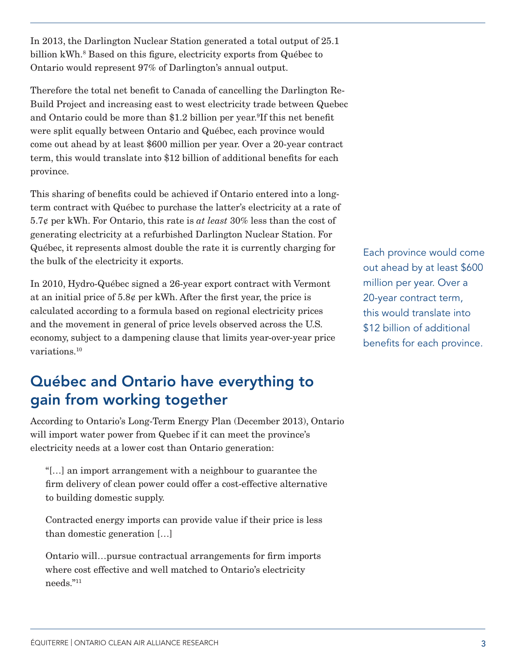In 2013, the Darlington Nuclear Station generated a total output of 25.1 billion kWh.<sup>8</sup> Based on this figure, electricity exports from Québec to Ontario would represent 97% of Darlington's annual output.

Therefore the total net benefit to Canada of cancelling the Darlington Re-Build Project and increasing east to west electricity trade between Quebec and Ontario could be more than \$1.2 billion per year.<sup>9</sup>If this net benefit were split equally between Ontario and Québec, each province would come out ahead by at least \$600 million per year. Over a 20-year contract term, this would translate into \$12 billion of additional benefits for each province.

This sharing of benefits could be achieved if Ontario entered into a longterm contract with Québec to purchase the latter's electricity at a rate of 5.7¢ per kWh. For Ontario, this rate is *at least* 30% less than the cost of generating electricity at a refurbished Darlington Nuclear Station. For Québec, it represents almost double the rate it is currently charging for the bulk of the electricity it exports.

In 2010, Hydro-Québec signed a 26-year export contract with Vermont at an initial price of 5.8¢ per kWh. After the first year, the price is calculated according to a formula based on regional electricity prices and the movement in general of price levels observed across the U.S. economy, subject to a dampening clause that limits year-over-year price variations.10

## Québec and Ontario have everything to gain from working together

According to Ontario's Long-Term Energy Plan (December 2013), Ontario will import water power from Quebec if it can meet the province's electricity needs at a lower cost than Ontario generation:

"[…] an import arrangement with a neighbour to guarantee the firm delivery of clean power could offer a cost-effective alternative to building domestic supply.

Contracted energy imports can provide value if their price is less than domestic generation […]

Ontario will…pursue contractual arrangements for firm imports where cost effective and well matched to Ontario's electricity needs."11

Each province would come out ahead by at least \$600 million per year. Over a 20-year contract term, this would translate into \$12 billion of additional benefits for each province.